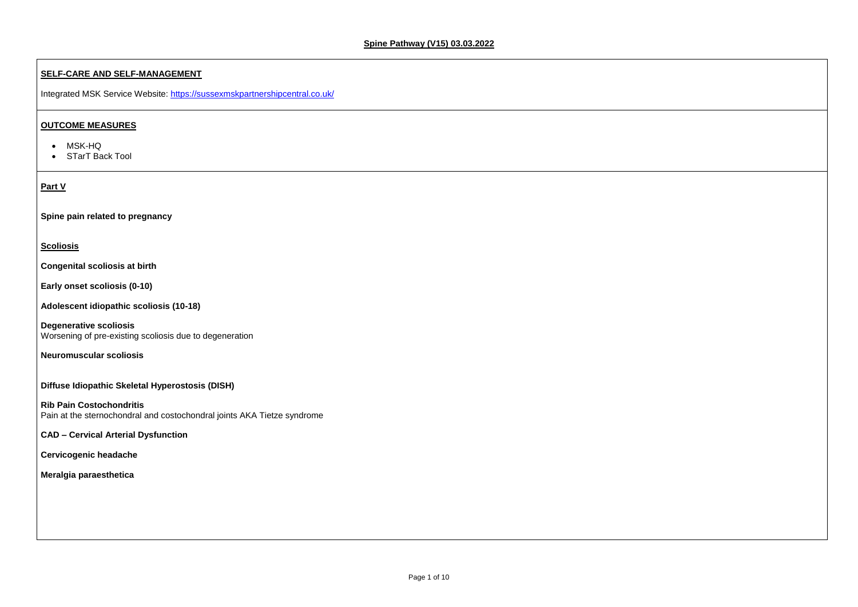### **SELF-CARE AND SELF-MANAGEMENT**

Integrated MSK Service Website:<https://sussexmskpartnershipcentral.co.uk/>

- MSK-HQ
- STarT Back Tool

## **OUTCOME MEASURES**

#### **Part V**

**Spine pain related to pregnancy**

### **Scoliosis**

**Congenital scoliosis at birth**

**Early onset scoliosis (0-10)**

**Adolescent idiopathic scoliosis (10-18)**

**Degenerative scoliosis** Worsening of pre-existing scoliosis due to degeneration

**Neuromuscular scoliosis**

### **Diffuse Idiopathic Skeletal Hyperostosis (DISH)**

**Rib Pain Costochondritis** Pain at the sternochondral and costochondral joints AKA Tietze syndrome

## **CAD – Cervical Arterial Dysfunction**

**Cervicogenic headache**

**Meralgia paraesthetica**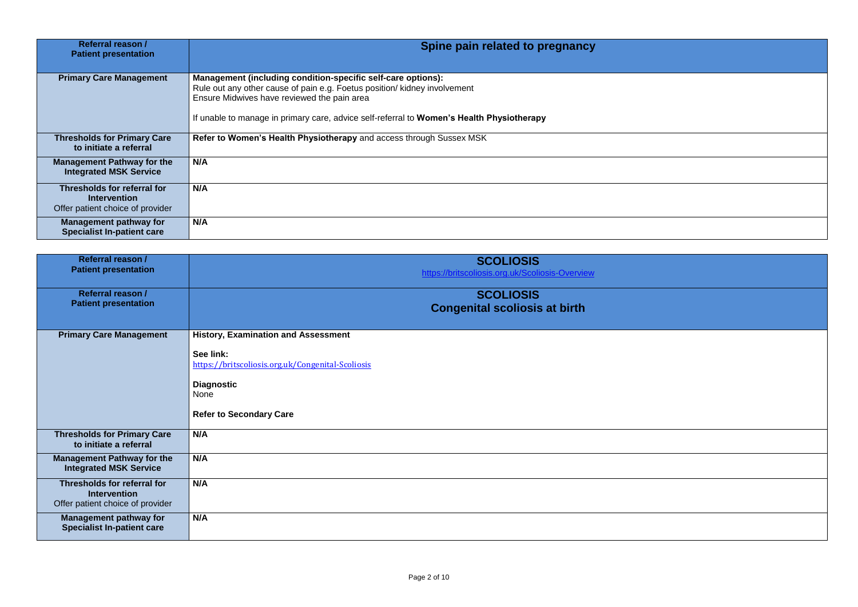

| Referral reason /<br><b>Patient presentation</b>                                       | Spine pain related to pregnancy                                                                                                                                                                                                                                                       |
|----------------------------------------------------------------------------------------|---------------------------------------------------------------------------------------------------------------------------------------------------------------------------------------------------------------------------------------------------------------------------------------|
| <b>Primary Care Management</b>                                                         | Management (including condition-specific self-care options):<br>Rule out any other cause of pain e.g. Foetus position/ kidney involvement<br>Ensure Midwives have reviewed the pain area<br>If unable to manage in primary care, advice self-referral to Women's Health Physiotherapy |
| <b>Thresholds for Primary Care</b><br>to initiate a referral                           | Refer to Women's Health Physiotherapy and access through Sussex MSK                                                                                                                                                                                                                   |
| <b>Management Pathway for the</b><br><b>Integrated MSK Service</b>                     | N/A                                                                                                                                                                                                                                                                                   |
| Thresholds for referral for<br><b>Intervention</b><br>Offer patient choice of provider | N/A                                                                                                                                                                                                                                                                                   |
| <b>Management pathway for</b><br><b>Specialist In-patient care</b>                     | N/A                                                                                                                                                                                                                                                                                   |

| Referral reason /<br><b>Patient presentation</b>                                       | <b>SCOLIOSIS</b><br>https://britscoliosis.org.uk/Scoliosis-Overview                                                                                                         |
|----------------------------------------------------------------------------------------|-----------------------------------------------------------------------------------------------------------------------------------------------------------------------------|
| <b>Referral reason /</b><br><b>Patient presentation</b>                                | <b>SCOLIOSIS</b><br><b>Congenital scoliosis at birth</b>                                                                                                                    |
| <b>Primary Care Management</b>                                                         | <b>History, Examination and Assessment</b><br>See link:<br>https://britscoliosis.org.uk/Congenital-Scoliosis<br><b>Diagnostic</b><br>None<br><b>Refer to Secondary Care</b> |
| <b>Thresholds for Primary Care</b><br>to initiate a referral                           | N/A                                                                                                                                                                         |
| <b>Management Pathway for the</b><br><b>Integrated MSK Service</b>                     | N/A                                                                                                                                                                         |
| Thresholds for referral for<br><b>Intervention</b><br>Offer patient choice of provider | N/A                                                                                                                                                                         |
| <b>Management pathway for</b><br><b>Specialist In-patient care</b>                     | N/A                                                                                                                                                                         |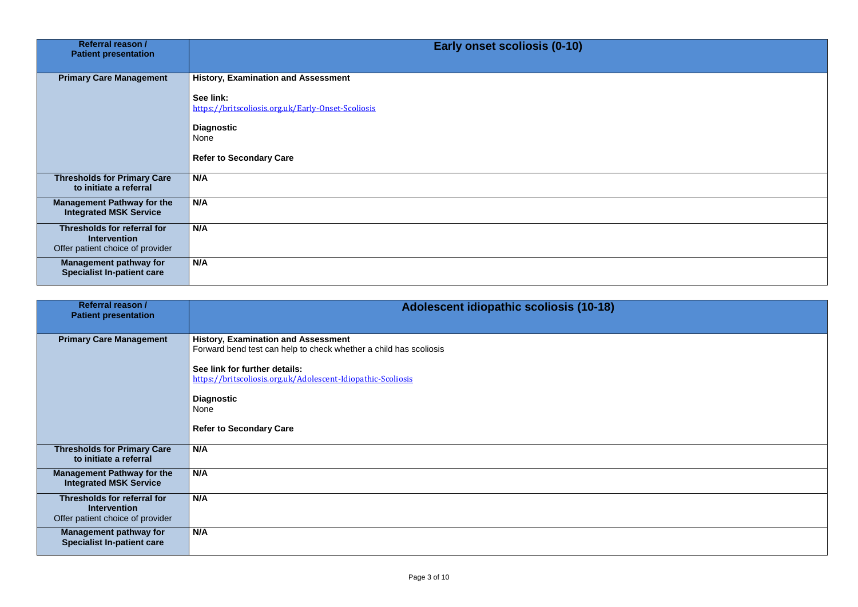

| <b>Referral reason /</b><br><b>Patient presentation</b>                                       | <b>Early onset scoliosis (0-10)</b>                             |
|-----------------------------------------------------------------------------------------------|-----------------------------------------------------------------|
| <b>Primary Care Management</b>                                                                | <b>History, Examination and Assessment</b>                      |
|                                                                                               | See link:<br>https://britscoliosis.org.uk/Early-Onset-Scoliosis |
|                                                                                               | <b>Diagnostic</b><br>None                                       |
|                                                                                               | <b>Refer to Secondary Care</b>                                  |
| <b>Thresholds for Primary Care</b><br>to initiate a referral                                  | N/A                                                             |
| <b>Management Pathway for the</b><br><b>Integrated MSK Service</b>                            | N/A                                                             |
| <b>Thresholds for referral for</b><br><b>Intervention</b><br>Offer patient choice of provider | N/A                                                             |
| <b>Management pathway for</b><br><b>Specialist In-patient care</b>                            | N/A                                                             |

| Referral reason /<br><b>Patient presentation</b>                                       | <b>Adolescent idiopathic scoliosis (10-18)</b>                                                                                                                                                                                                                                  |
|----------------------------------------------------------------------------------------|---------------------------------------------------------------------------------------------------------------------------------------------------------------------------------------------------------------------------------------------------------------------------------|
| <b>Primary Care Management</b>                                                         | <b>History, Examination and Assessment</b><br>Forward bend test can help to check whether a child has scoliosis<br>See link for further details:<br>https://britscoliosis.org.uk/Adolescent-Idiopathic-Scoliosis<br><b>Diagnostic</b><br>None<br><b>Refer to Secondary Care</b> |
| <b>Thresholds for Primary Care</b><br>to initiate a referral                           | N/A                                                                                                                                                                                                                                                                             |
| <b>Management Pathway for the</b><br><b>Integrated MSK Service</b>                     | N/A                                                                                                                                                                                                                                                                             |
| Thresholds for referral for<br><b>Intervention</b><br>Offer patient choice of provider | N/A                                                                                                                                                                                                                                                                             |
| <b>Management pathway for</b><br><b>Specialist In-patient care</b>                     | N/A                                                                                                                                                                                                                                                                             |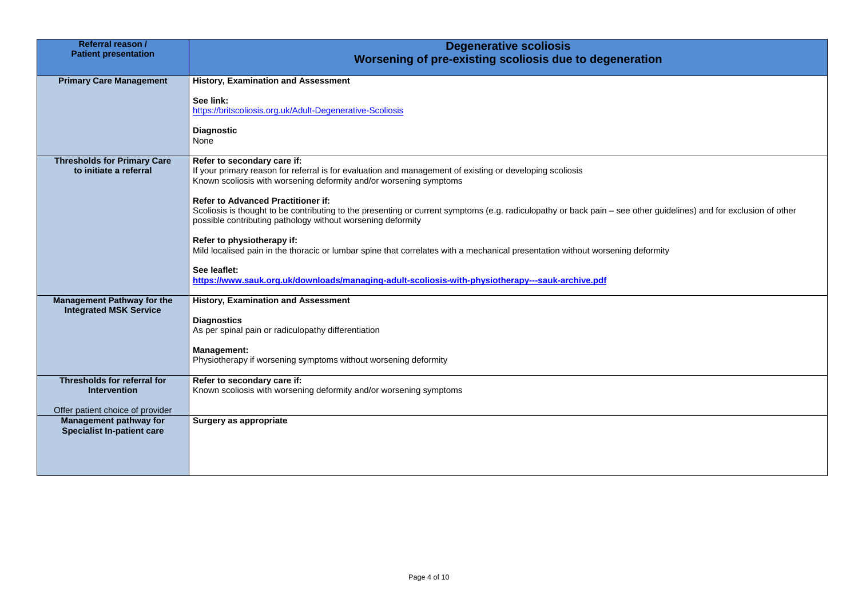er guidelines) and for exclusion of other

| <b>Referral reason /</b><br><b>Patient presentation</b>                                | <b>Degenerative scoliosis</b><br>Worsening of pre-existing scoliosis due to degeneration                                                                                                                                                                                                                                                                                                                                                                                                                                                                                                                                                                                                                                                         |
|----------------------------------------------------------------------------------------|--------------------------------------------------------------------------------------------------------------------------------------------------------------------------------------------------------------------------------------------------------------------------------------------------------------------------------------------------------------------------------------------------------------------------------------------------------------------------------------------------------------------------------------------------------------------------------------------------------------------------------------------------------------------------------------------------------------------------------------------------|
| <b>Primary Care Management</b>                                                         | <b>History, Examination and Assessment</b><br>See link:<br>https://britscoliosis.org.uk/Adult-Degenerative-Scoliosis<br><b>Diagnostic</b><br><b>None</b>                                                                                                                                                                                                                                                                                                                                                                                                                                                                                                                                                                                         |
| <b>Thresholds for Primary Care</b><br>to initiate a referral                           | Refer to secondary care if:<br>If your primary reason for referral is for evaluation and management of existing or developing scoliosis<br>Known scoliosis with worsening deformity and/or worsening symptoms<br><b>Refer to Advanced Practitioner if:</b><br>Scoliosis is thought to be contributing to the presenting or current symptoms (e.g. radiculopathy or back pain – see other guid<br>possible contributing pathology without worsening deformity<br>Refer to physiotherapy if:<br>Mild localised pain in the thoracic or lumbar spine that correlates with a mechanical presentation without worsening deformity<br>See leaflet:<br>https://www.sauk.org.uk/downloads/managing-adult-scoliosis-with-physiotherapy---sauk-archive.pdf |
| <b>Management Pathway for the</b><br><b>Integrated MSK Service</b>                     | <b>History, Examination and Assessment</b><br><b>Diagnostics</b><br>As per spinal pain or radiculopathy differentiation<br><b>Management:</b><br>Physiotherapy if worsening symptoms without worsening deformity                                                                                                                                                                                                                                                                                                                                                                                                                                                                                                                                 |
| Thresholds for referral for<br><b>Intervention</b><br>Offer patient choice of provider | Refer to secondary care if:<br>Known scoliosis with worsening deformity and/or worsening symptoms                                                                                                                                                                                                                                                                                                                                                                                                                                                                                                                                                                                                                                                |
| <b>Management pathway for</b><br><b>Specialist In-patient care</b>                     | <b>Surgery as appropriate</b>                                                                                                                                                                                                                                                                                                                                                                                                                                                                                                                                                                                                                                                                                                                    |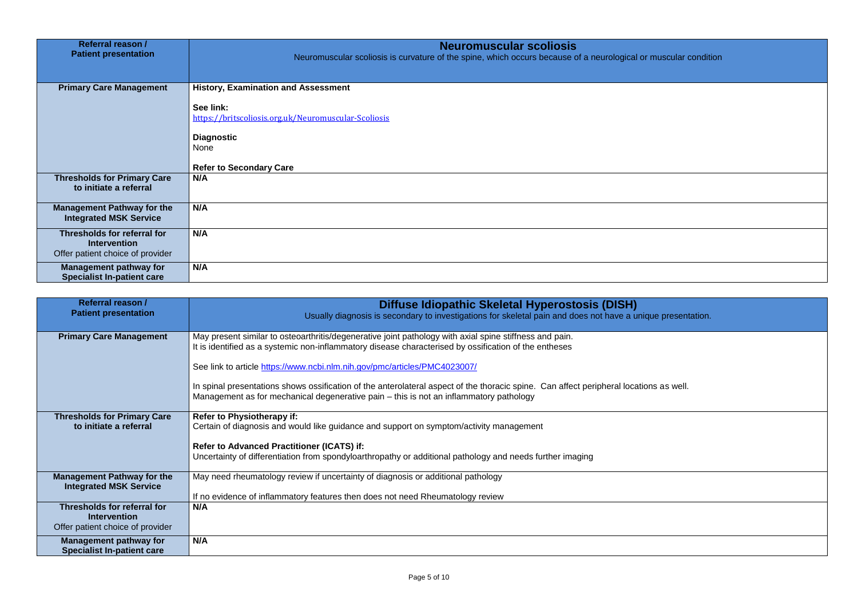## If muscular condition

que presentation.

| Referral reason /<br><b>Patient presentation</b>                                       | <b>Neuromuscular scoliosis</b><br>Neuromuscular scoliosis is curvature of the spine, which occurs because of a neurological o |
|----------------------------------------------------------------------------------------|-------------------------------------------------------------------------------------------------------------------------------|
| <b>Primary Care Management</b>                                                         | <b>History, Examination and Assessment</b><br>See link:<br>https://britscoliosis.org.uk/Neuromuscular-Scoliosis               |
|                                                                                        | <b>Diagnostic</b><br><b>None</b><br><b>Refer to Secondary Care</b>                                                            |
| <b>Thresholds for Primary Care</b><br>to initiate a referral                           | N/A                                                                                                                           |
| <b>Management Pathway for the</b><br><b>Integrated MSK Service</b>                     | N/A                                                                                                                           |
| Thresholds for referral for<br><b>Intervention</b><br>Offer patient choice of provider | N/A                                                                                                                           |
| <b>Management pathway for</b><br><b>Specialist In-patient care</b>                     | N/A                                                                                                                           |

| <b>Referral reason /</b><br><b>Patient presentation</b>                                | Diffuse Idiopathic Skeletal Hyperostosis (DISH)<br>Usually diagnosis is secondary to investigations for skeletal pain and does not have a unique presen                                                                          |
|----------------------------------------------------------------------------------------|----------------------------------------------------------------------------------------------------------------------------------------------------------------------------------------------------------------------------------|
| <b>Primary Care Management</b>                                                         | May present similar to osteoarthritis/degenerative joint pathology with axial spine stiffness and pain.<br>It is identified as a systemic non-inflammatory disease characterised by ossification of the entheses                 |
|                                                                                        | See link to article https://www.ncbi.nlm.nih.gov/pmc/articles/PMC4023007/                                                                                                                                                        |
|                                                                                        | In spinal presentations shows ossification of the anterolateral aspect of the thoracic spine. Can affect peripheral locations as well.<br>Management as for mechanical degenerative pain – this is not an inflammatory pathology |
| <b>Thresholds for Primary Care</b><br>to initiate a referral                           | <b>Refer to Physiotherapy if:</b><br>Certain of diagnosis and would like guidance and support on symptom/activity management                                                                                                     |
|                                                                                        | <b>Refer to Advanced Practitioner (ICATS) if:</b><br>Uncertainty of differentiation from spondyloarthropathy or additional pathology and needs further imaging                                                                   |
| <b>Management Pathway for the</b><br><b>Integrated MSK Service</b>                     | May need rheumatology review if uncertainty of diagnosis or additional pathology<br>If no evidence of inflammatory features then does not need Rheumatology review                                                               |
| Thresholds for referral for<br><b>Intervention</b><br>Offer patient choice of provider | N/A                                                                                                                                                                                                                              |
| <b>Management pathway for</b><br><b>Specialist In-patient care</b>                     | N/A                                                                                                                                                                                                                              |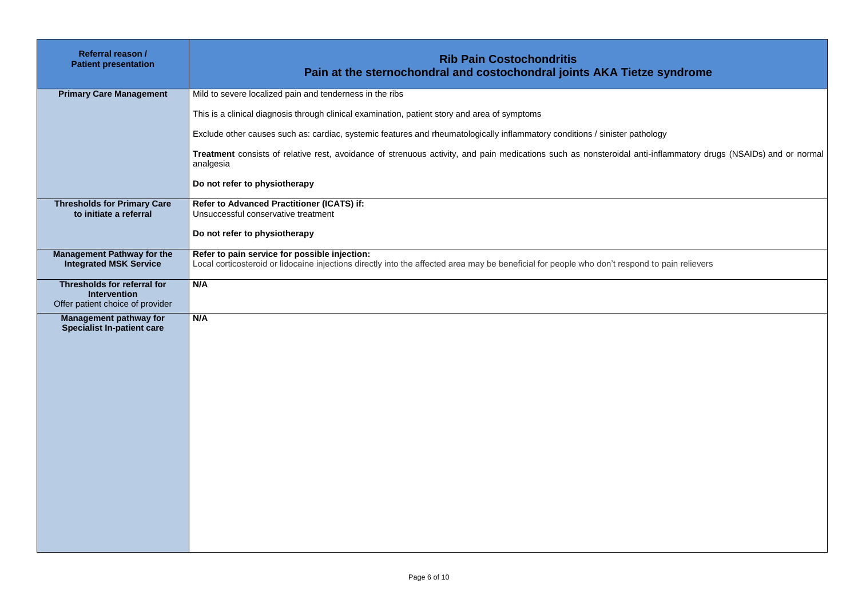# **Pain and in the syndrome**

**Treatment** consists of relative rest, avoidance of strenuous activity, and pain medications such as nonsteroidal anti-inflammatory drugs (NSAIDs) and or normal

d to pain relievers

| <b>Referral reason /</b><br><b>Patient presentation</b>                                       | <b>Rib Pain Costochondritis</b><br>Pain at the sternochondral and costochondral joints AKA Tietze sy                                                                              |
|-----------------------------------------------------------------------------------------------|-----------------------------------------------------------------------------------------------------------------------------------------------------------------------------------|
| <b>Primary Care Management</b>                                                                | Mild to severe localized pain and tenderness in the ribs                                                                                                                          |
|                                                                                               | This is a clinical diagnosis through clinical examination, patient story and area of symptoms                                                                                     |
|                                                                                               | Exclude other causes such as: cardiac, systemic features and rheumatologically inflammatory conditions / sinister pathology                                                       |
|                                                                                               | Treatment consists of relative rest, avoidance of strenuous activity, and pain medications such as nonsteroidal anti-infla<br>analgesia                                           |
|                                                                                               | Do not refer to physiotherapy                                                                                                                                                     |
| <b>Thresholds for Primary Care</b><br>to initiate a referral                                  | <b>Refer to Advanced Practitioner (ICATS) if:</b><br>Unsuccessful conservative treatment                                                                                          |
|                                                                                               | Do not refer to physiotherapy                                                                                                                                                     |
| <b>Management Pathway for the</b><br><b>Integrated MSK Service</b>                            | Refer to pain service for possible injection:<br>Local corticosteroid or lidocaine injections directly into the affected area may be beneficial for people who don't respond to p |
| <b>Thresholds for referral for</b><br><b>Intervention</b><br>Offer patient choice of provider | N/A                                                                                                                                                                               |
| <b>Management pathway for</b><br><b>Specialist In-patient care</b>                            | N/A                                                                                                                                                                               |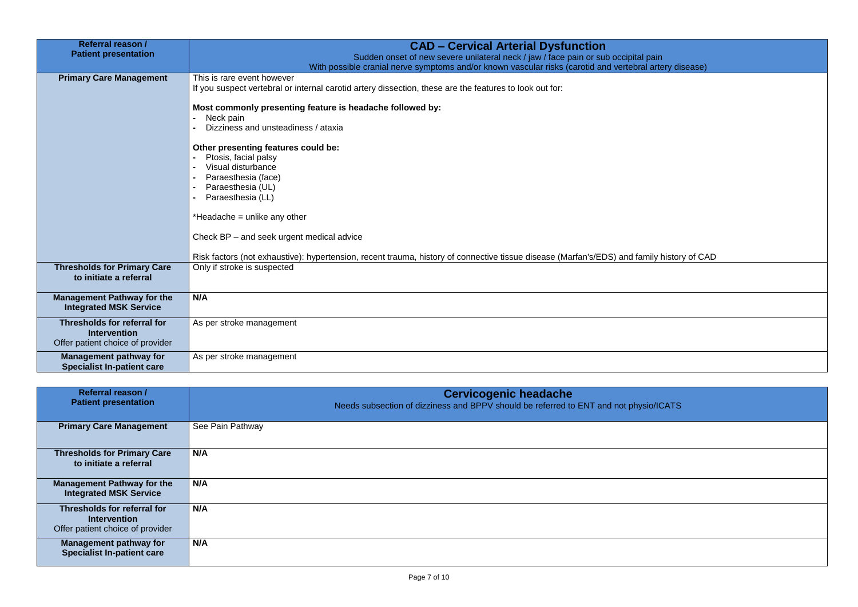## nily history of CAD

## sio/ICATS

| Referral reason /<br><b>Patient presentation</b>                                              | <b>CAD - Cervical Arterial Dysfunction</b><br>Sudden onset of new severe unilateral neck / jaw / face pain or sub occipital pain<br>With possible cranial nerve symptoms and/or known vascular risks (carotid and vertebral arte |
|-----------------------------------------------------------------------------------------------|----------------------------------------------------------------------------------------------------------------------------------------------------------------------------------------------------------------------------------|
| <b>Primary Care Management</b>                                                                | This is rare event however<br>If you suspect vertebral or internal carotid artery dissection, these are the features to look out for:                                                                                            |
|                                                                                               | Most commonly presenting feature is headache followed by:<br>Neck pain                                                                                                                                                           |
|                                                                                               | Dizziness and unsteadiness / ataxia                                                                                                                                                                                              |
|                                                                                               | Other presenting features could be:<br>Ptosis, facial palsy<br>Visual disturbance<br>Paraesthesia (face)<br>Paraesthesia (UL)<br>Paraesthesia (LL)                                                                               |
|                                                                                               | *Headache = unlike any other<br>Check BP – and seek urgent medical advice                                                                                                                                                        |
|                                                                                               | Risk factors (not exhaustive): hypertension, recent trauma, history of connective tissue disease (Marfan's/EDS) and family l                                                                                                     |
| <b>Thresholds for Primary Care</b><br>to initiate a referral                                  | Only if stroke is suspected                                                                                                                                                                                                      |
| <b>Management Pathway for the</b><br><b>Integrated MSK Service</b>                            | N/A                                                                                                                                                                                                                              |
| <b>Thresholds for referral for</b><br><b>Intervention</b><br>Offer patient choice of provider | As per stroke management                                                                                                                                                                                                         |
| <b>Management pathway for</b><br><b>Specialist In-patient care</b>                            | As per stroke management                                                                                                                                                                                                         |

| <b>Referral reason /</b><br><b>Patient presentation</b>                                | <b>Cervicogenic headache</b><br>Needs subsection of dizziness and BPPV should be referred to ENT and not phys |
|----------------------------------------------------------------------------------------|---------------------------------------------------------------------------------------------------------------|
| <b>Primary Care Management</b>                                                         | See Pain Pathway                                                                                              |
| <b>Thresholds for Primary Care</b><br>to initiate a referral                           | N/A                                                                                                           |
| <b>Management Pathway for the</b><br><b>Integrated MSK Service</b>                     | N/A                                                                                                           |
| Thresholds for referral for<br><b>Intervention</b><br>Offer patient choice of provider | N/A                                                                                                           |
| <b>Management pathway for</b><br><b>Specialist In-patient care</b>                     | N/A                                                                                                           |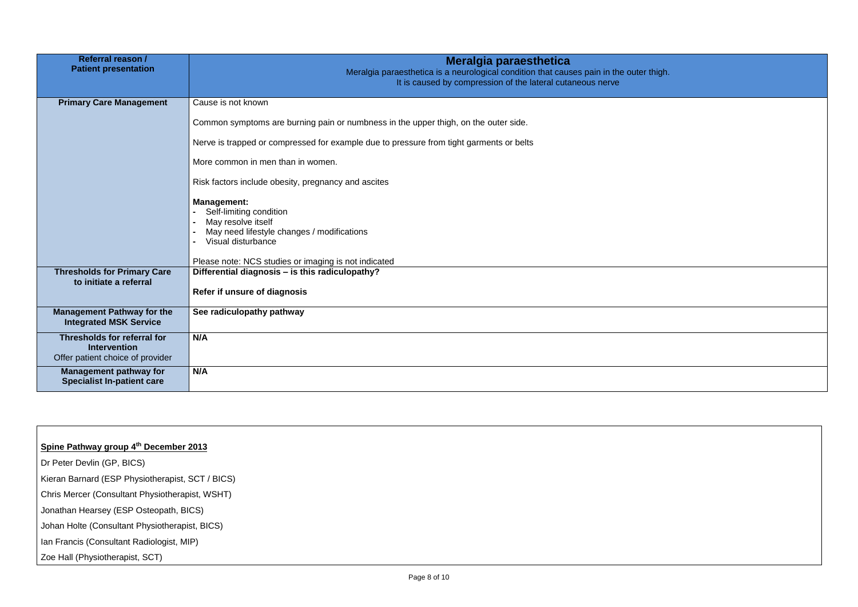| Referral reason /<br><b>Patient presentation</b>                                              | Meralgia paraesthetica<br>Meralgia paraesthetica is a neurological condition that causes pain in the outer thigh.<br>It is caused by compression of the lateral cutaneous nerve                                                                                                                                                                                                                                                                                                                     |
|-----------------------------------------------------------------------------------------------|-----------------------------------------------------------------------------------------------------------------------------------------------------------------------------------------------------------------------------------------------------------------------------------------------------------------------------------------------------------------------------------------------------------------------------------------------------------------------------------------------------|
| <b>Primary Care Management</b>                                                                | Cause is not known<br>Common symptoms are burning pain or numbness in the upper thigh, on the outer side.<br>Nerve is trapped or compressed for example due to pressure from tight garments or belts<br>More common in men than in women.<br>Risk factors include obesity, pregnancy and ascites<br><b>Management:</b><br>Self-limiting condition<br>May resolve itself<br>May need lifestyle changes / modifications<br>Visual disturbance<br>Please note: NCS studies or imaging is not indicated |
| <b>Thresholds for Primary Care</b><br>to initiate a referral                                  | Differential diagnosis - is this radiculopathy?<br>Refer if unsure of diagnosis                                                                                                                                                                                                                                                                                                                                                                                                                     |
| <b>Management Pathway for the</b><br><b>Integrated MSK Service</b>                            | See radiculopathy pathway                                                                                                                                                                                                                                                                                                                                                                                                                                                                           |
| <b>Thresholds for referral for</b><br><b>Intervention</b><br>Offer patient choice of provider | N/A                                                                                                                                                                                                                                                                                                                                                                                                                                                                                                 |
| <b>Management pathway for</b><br><b>Specialist In-patient care</b>                            | N/A                                                                                                                                                                                                                                                                                                                                                                                                                                                                                                 |

## **Spine Pathway group 4th December 2013**

Dr Peter Devlin (GP, BICS)

Kieran Barnard (ESP Physiotherapist, SCT / BICS)

Chris Mercer (Consultant Physiotherapist, WSHT)

Jonathan Hearsey (ESP Osteopath, BICS)

Johan Holte (Consultant Physiotherapist, BICS)

Ian Francis (Consultant Radiologist, MIP)

Zoe Hall (Physiotherapist, SCT)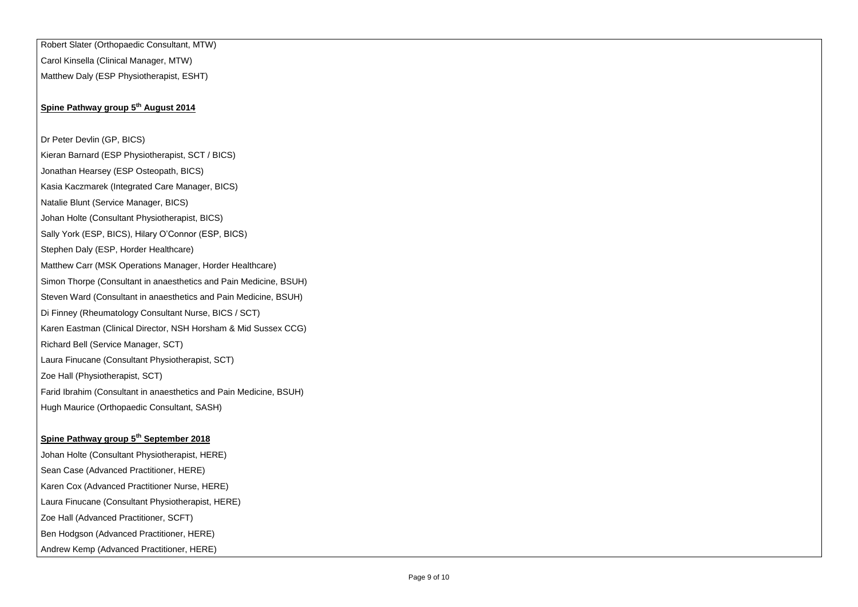Robert Slater (Orthopaedic Consultant, MTW) Carol Kinsella (Clinical Manager, MTW) Matthew Daly (ESP Physiotherapist, ESHT)

## **Spine Pathway group 5th August 2014**

Dr Peter Devlin (GP, BICS)

Kieran Barnard (ESP Physiotherapist, SCT / BICS)

Jonathan Hearsey (ESP Osteopath, BICS)

Kasia Kaczmarek (Integrated Care Manager, BICS)

Natalie Blunt (Service Manager, BICS)

Johan Holte (Consultant Physiotherapist, BICS)

Sally York (ESP, BICS), Hilary O'Connor (ESP, BICS)

Stephen Daly (ESP, Horder Healthcare)

Matthew Carr (MSK Operations Manager, Horder Healthcare)

Simon Thorpe (Consultant in anaesthetics and Pain Medicine, BSUH)

Steven Ward (Consultant in anaesthetics and Pain Medicine, BSUH)

Di Finney (Rheumatology Consultant Nurse, BICS / SCT)

Karen Eastman (Clinical Director, NSH Horsham & Mid Sussex CCG)

Richard Bell (Service Manager, SCT)

Laura Finucane (Consultant Physiotherapist, SCT)

Zoe Hall (Physiotherapist, SCT)

Farid Ibrahim (Consultant in anaesthetics and Pain Medicine, BSUH)

Hugh Maurice (Orthopaedic Consultant, SASH)

## **Spine Pathway group 5th September 2018**

Johan Holte (Consultant Physiotherapist, HERE) Sean Case (Advanced Practitioner, HERE) Karen Cox (Advanced Practitioner Nurse, HERE) Laura Finucane (Consultant Physiotherapist, HERE) Zoe Hall (Advanced Practitioner, SCFT) Ben Hodgson (Advanced Practitioner, HERE) Andrew Kemp (Advanced Practitioner, HERE)